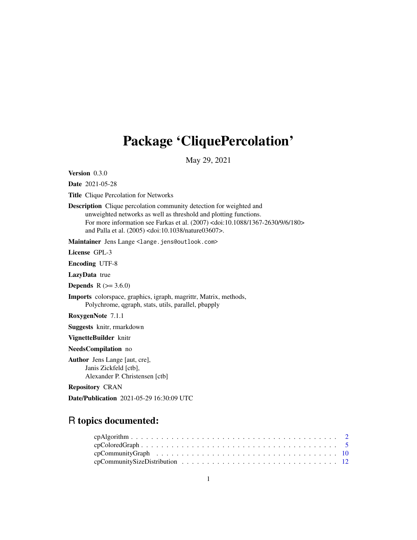# <span id="page-0-0"></span>Package 'CliquePercolation'

May 29, 2021

Version 0.3.0

Date 2021-05-28

Title Clique Percolation for Networks

Description Clique percolation community detection for weighted and unweighted networks as well as threshold and plotting functions. For more information see Farkas et al. (2007) <doi:10.1088/1367-2630/9/6/180> and Palla et al. (2005) <doi:10.1038/nature03607>.

Maintainer Jens Lange <lange.jens@outlook.com>

License GPL-3

Encoding UTF-8

LazyData true

**Depends**  $R (= 3.6.0)$ 

Imports colorspace, graphics, igraph, magrittr, Matrix, methods, Polychrome, qgraph, stats, utils, parallel, pbapply

RoxygenNote 7.1.1

Suggests knitr, rmarkdown

VignetteBuilder knitr

NeedsCompilation no

Author Jens Lange [aut, cre], Janis Zickfeld [ctb], Alexander P. Christensen [ctb]

Repository CRAN

Date/Publication 2021-05-29 16:30:09 UTC

# R topics documented: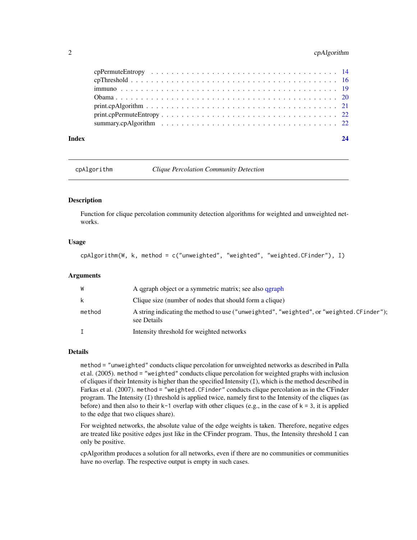# <span id="page-1-0"></span>2 cpAlgorithm

| Index | 24 |
|-------|----|

<span id="page-1-1"></span>

cpAlgorithm *Clique Percolation Community Detection*

#### Description

Function for clique percolation community detection algorithms for weighted and unweighted networks.

### Usage

cpAlgorithm(W, k, method = c("unweighted", "weighted", "weighted.CFinder"), I)

#### Arguments

| W            | A qgraph object or a symmetric matrix; see also qgraph                                                    |
|--------------|-----------------------------------------------------------------------------------------------------------|
| $\mathsf{k}$ | Clique size (number of nodes that should form a clique)                                                   |
| method       | A string indicating the method to use ("unweighted", "weighted", or "weighted. CF inder");<br>see Details |
| $\mathbf{I}$ | Intensity threshold for weighted networks                                                                 |

# Details

method = "unweighted" conducts clique percolation for unweighted networks as described in Palla et al. (2005). method = "weighted" conducts clique percolation for weighted graphs with inclusion of cliques if their Intensity is higher than the specified Intensity (I), which is the method described in Farkas et al. (2007). method = "weighted.CFinder" conducts clique percolation as in the CFinder program. The Intensity (I) threshold is applied twice, namely first to the Intensity of the cliques (as before) and then also to their  $k-1$  overlap with other cliques (e.g., in the case of  $k = 3$ , it is applied to the edge that two cliques share).

For weighted networks, the absolute value of the edge weights is taken. Therefore, negative edges are treated like positive edges just like in the CFinder program. Thus, the Intensity threshold I can only be positive.

cpAlgorithm produces a solution for all networks, even if there are no communities or communities have no overlap. The respective output is empty in such cases.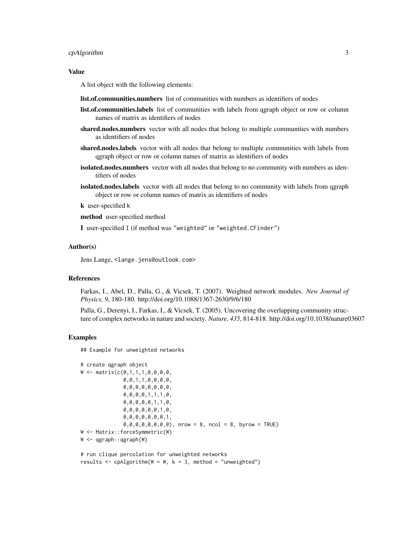# cpAlgorithm 3

#### Value

A list object with the following elements:

- list.of.communities.numbers list of communities with numbers as identifiers of nodes
- list.of.communities.labels list of communities with labels from qgraph object or row or column names of matrix as identifiers of nodes
- shared.nodes.numbers vector with all nodes that belong to multiple communities with numbers as identifiers of nodes
- shared.nodes.labels vector with all nodes that belong to multiple communities with labels from qgraph object or row or column names of matrix as identifiers of nodes
- isolated.nodes.numbers vector with all nodes that belong to no community with numbers as identifiers of nodes
- isolated.nodes.labels vector with all nodes that belong to no community with labels from qgraph object or row or column names of matrix as identifiers of nodes

k user-specified k

method user-specified method

I user-specified I (if method was "weighted" or "weighted.CFinder")

# Author(s)

Jens Lange, <lange.jens@outlook.com>

#### References

Farkas, I., Abel, D., Palla, G., & Vicsek, T. (2007). Weighted network modules. *New Journal of Physics, 9*, 180-180. http://doi.org/10.1088/1367-2630/9/6/180

Palla, G., Derenyi, I., Farkas, I., & Vicsek, T. (2005). Uncovering the overlapping community structure of complex networks in nature and society. *Nature, 435*, 814-818. http://doi.org/10.1038/nature03607

# Examples

## Example for unweighted networks

```
# create qgraph object
W \leq - matrix(c(0,1,1,1,0,0,0,0,0)0,0,1,1,0,0,0,0,
              0,0,0,0,0,0,0,0,
              0,0,0,0,1,1,1,0,
              0,0,0,0,0,1,1,0,
              0,0,0,0,0,0,1,0,
              0,0,0,0,0,0,0,1,
              0,0,0,0,0,0,0,0), nrow = 8, ncol = 8, byrow = TRUE)
W <- Matrix::forceSymmetric(W)
W <- qgraph::qgraph(W)
# run clique percolation for unweighted networks
```
results  $\leq$  cpAlgorithm(W = W, k = 3, method = "unweighted")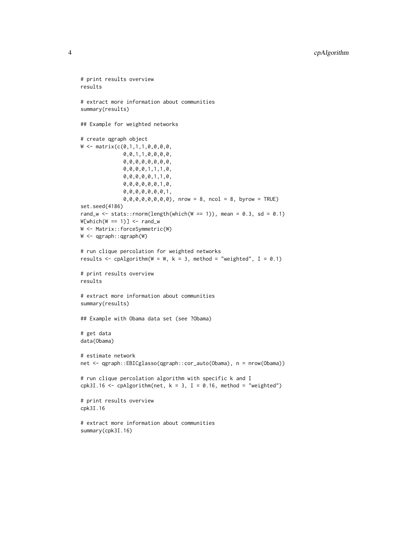```
# print results overview
results
# extract more information about communities
summary(results)
## Example for weighted networks
# create qgraph object
W \leq - matrix(C(0,1,1,1,0,0,0,0,0)0,0,1,1,0,0,0,0,
              0,0,0,0,0,0,0,0,
              0,0,0,0,1,1,1,0,
              0,0,0,0,0,1,1,0,
              0,0,0,0,0,0,1,0,
              0,0,0,0,0,0,0,1,
              0,0,0,0,0,0,0,0), nrow = 8, ncol = 8, byrow = TRUE)
set.seed(4186)
rand_w \le stats::rnorm(length(which(W == 1)), mean = 0.3, sd = 0.1)
W[which(W == 1)] \leftarrow rand_wW <- Matrix::forceSymmetric(W)
W <- qgraph::qgraph(W)
# run clique percolation for weighted networks
results \leq cpAlgorithm(W = W, k = 3, method = "weighted", I = 0.1)
# print results overview
results
# extract more information about communities
summary(results)
## Example with Obama data set (see ?Obama)
# get data
data(Obama)
# estimate network
net <- qgraph::EBICglasso(qgraph::cor_auto(Obama), n = nrow(Obama))
# run clique percolation algorithm with specific k and I
cpk3I.16 <- cpAlgorithm(net, k = 3, I = 0.16, method = "weighted")
# print results overview
cpk3I.16
# extract more information about communities
summary(cpk3I.16)
```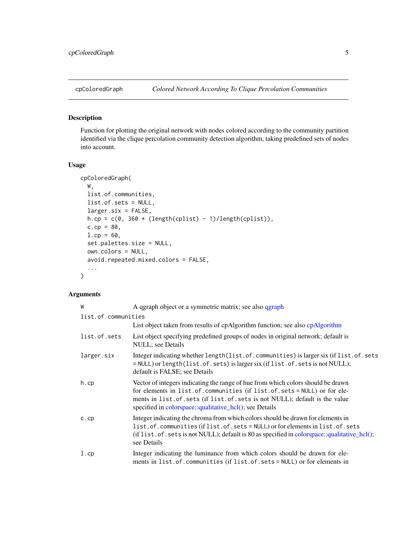<span id="page-4-0"></span>

# Description

Function for plotting the original network with nodes colored according to the community partition identified via the clique percolation community detection algorithm, taking predefined sets of nodes into account.

# Usage

```
cpColoredGraph(
 W,
 list.of.communities,
 list.of.sets = NULL,
 larger.six = FALSE,
 h.cp = c(0, 360 * (length(cplist) - 1)/length(cplist)),c.cp = 80,l.cp = 60,set.palettes.size = NULL,
 own.colors = NULL,
 avoid.repeated.mixed.colors = FALSE,
  ...
)
```
# Arguments

| W                   | A qgraph object or a symmetric matrix; see also qgraph                                                                                                                                                                                                                                                   |
|---------------------|----------------------------------------------------------------------------------------------------------------------------------------------------------------------------------------------------------------------------------------------------------------------------------------------------------|
| list.of.communities |                                                                                                                                                                                                                                                                                                          |
|                     | List object taken from results of cpAlgorithm function; see also cpAlgorithm                                                                                                                                                                                                                             |
| list.of.sets        | List object specifying predefined groups of nodes in original network; default is<br>NULL; see Details                                                                                                                                                                                                   |
| larger.six          | Integer indicating whether length(list.of.communities) is larger six (if list.of.sets<br>= NULL) or length(list.of.sets) is larger six (if list.of.sets is not NULL);<br>default is FALSE; see Details                                                                                                   |
| h.cp                | Vector of integers indicating the range of hue from which colors should be drawn<br>for elements in list.of.communities (if list.of.sets = NULL) or for ele-<br>ments in list. of. sets (if list. of. sets is not NULL); default is the value<br>specified in colorspace::qualitative_hcl(); see Details |
| c.c                 | Integer indicating the chroma from which colors should be drawn for elements in<br>list.of.communities (if list.of.sets = NULL) or for elements in list.of.sets<br>$(if list. of. sets is not NULL); default is 80 as specified in colorspace::qualitative_hcl();$<br>see Details                        |
| 1.cp                | Integer indicating the luminance from which colors should be drawn for ele-<br>ments in list.of.communities (if list.of.sets = NULL) or for elements in                                                                                                                                                  |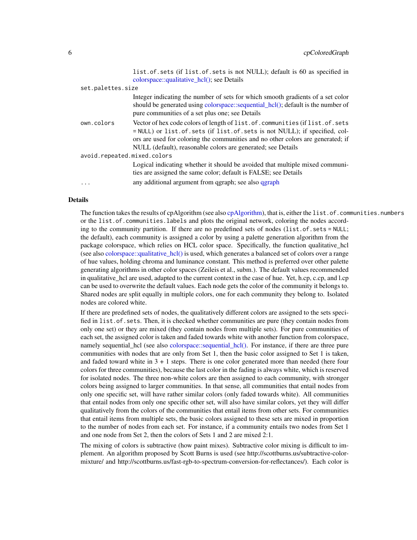<span id="page-5-0"></span>

|                             | list.of.sets (if list.of.sets is not NULL); default is 60 as specified in<br>colorspace::qualitative_hcl(); see Details                                                                                                                                                                                         |  |  |  |  |
|-----------------------------|-----------------------------------------------------------------------------------------------------------------------------------------------------------------------------------------------------------------------------------------------------------------------------------------------------------------|--|--|--|--|
| set.palettes.size           |                                                                                                                                                                                                                                                                                                                 |  |  |  |  |
|                             | Integer indicating the number of sets for which smooth gradients of a set color<br>should be generated using colorspace::sequential_hcl(); default is the number of<br>pure communities of a set plus one; see Details                                                                                          |  |  |  |  |
| own.colors                  | Vector of hex code colors of length of list. of. communities (if list. of. sets<br>= NULL) or list.of.sets (if list.of.sets is not NULL); if specified, col-<br>ors are used for coloring the communities and no other colors are generated; if<br>NULL (default), reasonable colors are generated; see Details |  |  |  |  |
| avoid.repeated.mixed.colors |                                                                                                                                                                                                                                                                                                                 |  |  |  |  |
|                             | Logical indicating whether it should be avoided that multiple mixed communi-<br>ties are assigned the same color; default is FALSE; see Details                                                                                                                                                                 |  |  |  |  |
|                             | any additional argument from qgraph; see also qgraph                                                                                                                                                                                                                                                            |  |  |  |  |

#### Details

The function takes the results of cpAlgorithm (see also [cpAlgorithm\)](#page-1-1), that is, either the list.of.communities.numbers or the list.of.communities.labels and plots the original network, coloring the nodes according to the community partition. If there are no predefined sets of nodes (list.of.sets = NULL; the default), each community is assigned a color by using a palette generation algorithm from the package colorspace, which relies on HCL color space. Specifically, the function qualitative\_hcl (see also [colorspace::qualitative\\_hcl\(\)](#page-0-0) is used, which generates a balanced set of colors over a range of hue values, holding chroma and luminance constant. This method is preferred over other palette generating algorithms in other color spaces (Zeileis et al., subm.). The default values recommended in qualitative\_hcl are used, adapted to the current context in the case of hue. Yet, h.cp, c.cp, and l.cp can be used to overwrite the default values. Each node gets the color of the community it belongs to. Shared nodes are split equally in multiple colors, one for each community they belong to. Isolated nodes are colored white.

If there are predefined sets of nodes, the qualitatively different colors are assigned to the sets specified in list.of.sets. Then, it is checked whether communities are pure (they contain nodes from only one set) or they are mixed (they contain nodes from multiple sets). For pure communities of each set, the assigned color is taken and faded towards white with another function from colorspace, namely sequential\_hcl (see also [colorspace::sequential\\_hcl\(\).](#page-0-0) For instance, if there are three pure communities with nodes that are only from Set 1, then the basic color assigned to Set 1 is taken, and faded toward white in  $3 + 1$  steps. There is one color generated more than needed (here four colors for three communities), because the last color in the fading is always white, which is reserved for isolated nodes. The three non-white colors are then assigned to each community, with stronger colors being assigned to larger communities. In that sense, all communities that entail nodes from only one specific set, will have rather similar colors (only faded towards white). All communities that entail nodes from only one specific other set, will also have similar colors, yet they will differ qualitatively from the colors of the communities that entail items from other sets. For communities that entail items from multiple sets, the basic colors assigned to these sets are mixed in proportion to the number of nodes from each set. For instance, if a community entails two nodes from Set 1 and one node from Set 2, then the colors of Sets 1 and 2 are mixed 2:1.

The mixing of colors is subtractive (how paint mixes). Subtractive color mixing is difficult to implement. An algorithm proposed by Scott Burns is used (see http://scottburns.us/subtractive-colormixture/ and http://scottburns.us/fast-rgb-to-spectrum-conversion-for-reflectances/). Each color is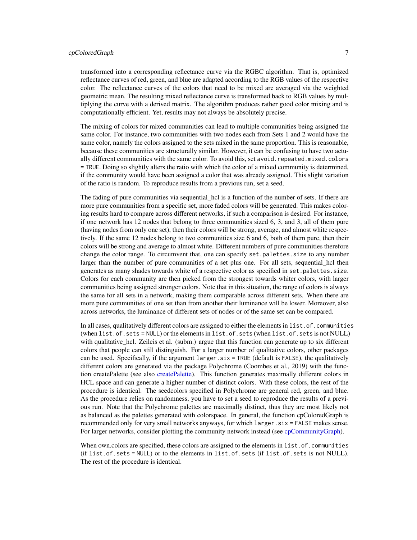# <span id="page-6-0"></span>cpColoredGraph 7

transformed into a corresponding reflectance curve via the RGBC algorithm. That is, optimized reflectance curves of red, green, and blue are adapted according to the RGB values of the respective color. The reflectance curves of the colors that need to be mixed are averaged via the weighted geometric mean. The resulting mixed reflectance curve is transformed back to RGB values by multiplying the curve with a derived matrix. The algorithm produces rather good color mixing and is computationally efficient. Yet, results may not always be absolutely precise.

The mixing of colors for mixed communities can lead to multiple communities being assigned the same color. For instance, two communities with two nodes each from Sets 1 and 2 would have the same color, namely the colors assigned to the sets mixed in the same proportion. This is reasonable, because these communities are structurally similar. However, it can be confusing to have two actually different communities with the same color. To avoid this, set avoid.repeated.mixed.colors = TRUE. Doing so slightly alters the ratio with which the color of a mixed community is determined, if the community would have been assigned a color that was already assigned. This slight variation of the ratio is random. To reproduce results from a previous run, set a seed.

The fading of pure communities via sequential hcl is a function of the number of sets. If there are more pure communities from a specific set, more faded colors will be generated. This makes coloring results hard to compare across different networks, if such a comparison is desired. For instance, if one network has 12 nodes that belong to three communities sized 6, 3, and 3, all of them pure (having nodes from only one set), then their colors will be strong, average, and almost white respectively. If the same 12 nodes belong to two communities size 6 and 6, both of them pure, then their colors will be strong and average to almost white. Different numbers of pure communities therefore change the color range. To circumvent that, one can specify set.palettes.size to any number larger than the number of pure communities of a set plus one. For all sets, sequential hcl then generates as many shades towards white of a respective color as specified in set.palettes.size. Colors for each community are then picked from the strongest towards whiter colors, with larger communities being assigned stronger colors. Note that in this situation, the range of colors is always the same for all sets in a network, making them comparable across different sets. When there are more pure communities of one set than from another their luminance will be lower. Moreover, also across networks, the luminance of different sets of nodes or of the same set can be compared.

In all cases, qualitatively different colors are assigned to either the elements in list.of.communities (when list.of.sets = NULL) or the elements in list.of.sets (when list.of.sets is not NULL) with qualitative\_hcl. Zeileis et al. (subm.) argue that this function can generate up to six different colors that people can still distinguish. For a larger number of qualitative colors, other packages can be used. Specifically, if the argument  $l = rRUE$  (default is FALSE), the qualitatively different colors are generated via the package Polychrome (Coombes et al., 2019) with the function createPalette (see also [createPalette\)](#page-0-0). This function generates maximally different colors in HCL space and can generate a higher number of distinct colors. With these colors, the rest of the procedure is identical. The seedcolors specified in Polychrome are general red, green, and blue. As the procedure relies on randomness, you have to set a seed to reproduce the results of a previous run. Note that the Polychrome palettes are maximally distinct, thus they are most likely not as balanced as the palettes generated with colorspace. In general, the function cpColoredGraph is recommended only for very small networks anyways, for which larger.six = FALSE makes sense. For larger networks, consider plotting the community network instead (see [cpCommunityGraph\)](#page-9-1).

When own.colors are specified, these colors are assigned to the elements in list.of.communities (if list.of.sets = NULL) or to the elements in list.of.sets (if list.of.sets is not NULL). The rest of the procedure is identical.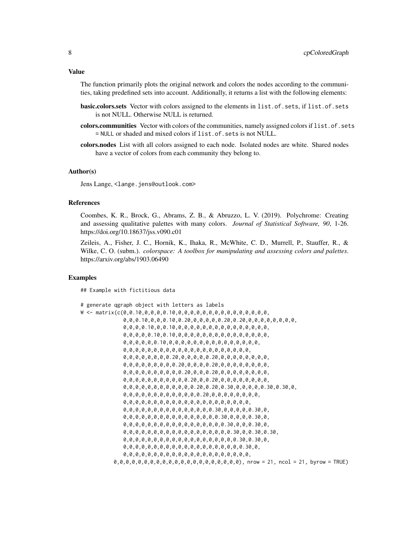#### Value

The function primarily plots the original network and colors the nodes according to the communities, taking predefined sets into account. Additionally, it returns a list with the following elements:

- basic.colors.sets Vector with colors assigned to the elements in list.of.sets, if list.of.sets is not NULL. Otherwise NULL is returned.
- colors.communities Vector with colors of the communities, namely assigned colors if list.of.sets = NULL or shaded and mixed colors if list.of.sets is not NULL.
- colors.nodes List with all colors assigned to each node. Isolated nodes are white. Shared nodes have a vector of colors from each community they belong to.

#### Author(s)

Jens Lange, <lange.jens@outlook.com>

#### References

Coombes, K. R., Brock, G., Abrams, Z. B., & Abruzzo, L. V. (2019). Polychrome: Creating and assessing qualitative palettes with many colors. *Journal of Statistical Software, 90*, 1-26. https://doi.org/10.18637/jss.v090.c01

Zeileis, A., Fisher, J. C., Hornik, K., Ihaka, R., McWhite, C. D., Murrell, P., Stauffer, R., & Wilke, C. O. (subm.). *colorspace: A toolbox for manipulating and assessing colors and palettes*. https://arxiv.org/abs/1903.06490

#### Examples

## Example with fictitious data

```
# generate qgraph object with letters as labels
W <- matrix(c(0,0.10,0,0,0,0.10,0,0,0,0,0,0,0,0,0,0,0,0,0,0,0,
              0,0,0.10,0,0,0.10,0.20,0,0,0,0,0.20,0.20,0,0,0,0,0,0,0,0,
              0,0,0,0.10,0,0.10,0,0,0,0,0,0,0,0,0,0,0,0,0,0,0,
              0,0,0,0,0.10,0.10,0,0,0,0,0,0,0,0,0,0,0,0,0,0,0,
              0,0,0,0,0,0.10,0,0,0,0,0,0,0,0,0,0,0,0,0,0,0,
              0,0,0,0,0,0,0,0,0,0,0,0,0,0,0,0,0,0,0,0,0,
             0,0,0,0,0,0,0,0.20,0,0,0,0,0.20,0,0,0,0,0,0,0,0,
             0,0,0,0,0,0,0,0,0.20,0,0,0,0.20,0,0,0,0,0,0,0,0,
              0,0,0,0,0,0,0,0,0,0.20,0,0,0.20,0,0,0,0,0,0,0,0,
              0,0,0,0,0,0,0,0,0,0,0.20,0,0.20,0,0,0,0,0,0,0,0,
              0,0,0,0,0,0,0,0,0,0,0,0.20,0.20,0.30,0,0,0,0,0.30,0.30,0,
              0,0,0,0,0,0,0,0,0,0,0,0,0.20,0,0,0,0,0,0,0,0,
              0,0,0,0,0,0,0,0,0,0,0,0,0,0,0,0,0,0,0,0,0,
             0,0,0,0,0,0,0,0,0,0,0,0,0,0,0.30,0,0,0,0,0.30,0,
             0,0,0,0,0,0,0,0,0,0,0,0,0,0,0,0.30,0,0,0,0.30,0,
             0,0,0,0,0,0,0,0,0,0,0,0,0,0,0,0,0.30,0,0,0.30,0,
              0,0,0,0,0,0,0,0,0,0,0,0,0,0,0,0,0,0.30,0,0.30,0.30,
             0,0,0,0,0,0,0,0,0,0,0,0,0,0,0,0,0,0,0.30,0.30,0,
             0,0,0,0,0,0,0,0,0,0,0,0,0,0,0,0,0,0,0,0.30,0,
              0,0,0,0,0,0,0,0,0,0,0,0,0,0,0,0,0,0,0,0,0,
          0,0,0,0,0,0,0,0,0,0,0,0,0,0,0,0,0,0,0,0,0), nrow = 21, ncol = 21, byrow = TRUE)
```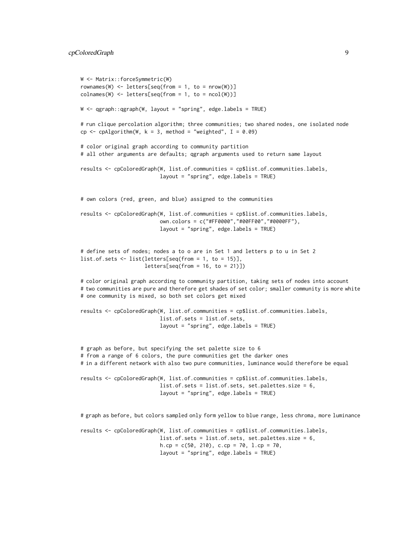```
W <- Matrix::forceSymmetric(W)
rownames(W) <- letters[seq(from = 1, to = nrow(W))]
\text{colnames}(W) \leftarrow \text{letters}[\text{seq}(\text{from} = 1, \text{to} = \text{ncol}(W))]W \leq -qgraph::qgraph(W, layout = "spring", edge.labels = TRUE)
# run clique percolation algorithm; three communities; two shared nodes, one isolated node
cp \leq cpAlgorithm(W, k = 3, method = "weighted", I = 0.09)
# color original graph according to community partition
# all other arguments are defaults; qgraph arguments used to return same layout
results <- cpColoredGraph(W, list.of.communities = cp$list.of.communities.labels,
                           layout = "spring", edge.labels = TRUE)
# own colors (red, green, and blue) assigned to the communities
results <- cpColoredGraph(W, list.of.communities = cp$list.of.communities.labels,
                           own.colors = c("#FF0000","#00FF00","#0000FF"),
                           layout = "spring", edge.labels = TRUE)
# define sets of nodes; nodes a to o are in Set 1 and letters p to u in Set 2
list.of.sets \le list(letters[seq(from = 1, to = 15)],
                     letters[seq(from = 16, to = 21)])# color original graph according to community partition, taking sets of nodes into account
# two communities are pure and therefore get shades of set color; smaller community is more white
# one community is mixed, so both set colors get mixed
results <- cpColoredGraph(W, list.of.communities = cp$list.of.communities.labels,
                          list.of.sets = list.of.sets,
                           layout = "spring", edge.labels = TRUE)
# graph as before, but specifying the set palette size to 6
# from a range of 6 colors, the pure communities get the darker ones
# in a different network with also two pure communities, luminance would therefore be equal
results <- cpColoredGraph(W, list.of.communities = cp$list.of.communities.labels,
                           list.of.sets = list.of.sets, set.palettes.size = 6,
                           layout = "spring", edge.labels = TRUE)
# graph as before, but colors sampled only form yellow to blue range, less chroma, more luminance
results <- cpColoredGraph(W, list.of.communities = cp$list.of.communities.labels,
```
list.of.sets = list.of.sets, set.palettes.size = 6,

h.cp =  $c(50, 210)$ , c.cp = 70, l.cp = 70, layout = "spring", edge.labels = TRUE)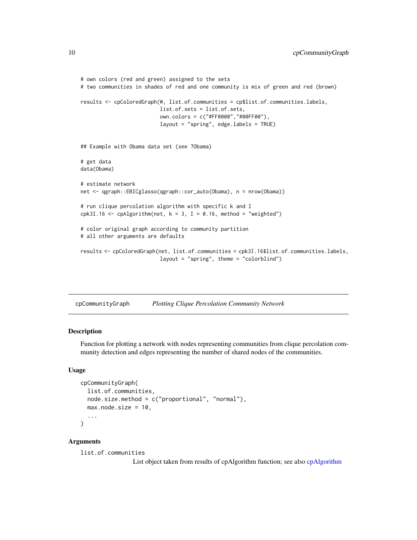```
# own colors (red and green) assigned to the sets
# two communities in shades of red and one community is mix of green and red (brown)
results <- cpColoredGraph(W, list.of.communities = cp$list.of.communities.labels,
                          list.of.sets = list.of.sets,
                          own.colors = c("#FF0000","#00FF00"),
                          layout = "spring", edge.labels = TRUE)
## Example with Obama data set (see ?Obama)
# get data
data(Obama)
# estimate network
net <- qgraph::EBICglasso(qgraph::cor_auto(Obama), n = nrow(Obama))
# run clique percolation algorithm with specific k and I
cpk3I.16 <- cpAlgorithm(net, k = 3, I = 0.16, method = "weighted")
# color original graph according to community partition
# all other arguments are defaults
results <- cpColoredGraph(net, list.of.communities = cpk3I.16$list.of.communities.labels,
                          layout = "spring", theme = "colorblind")
```
<span id="page-9-1"></span>cpCommunityGraph *Plotting Clique Percolation Community Network*

#### Description

Function for plotting a network with nodes representing communities from clique percolation community detection and edges representing the number of shared nodes of the communities.

#### Usage

```
cpCommunityGraph(
  list.of.communities,
  node.size.method = c("proportional", "normal"),
  max.node.size = 10,
  ...
)
```
#### Arguments

list.of.communities

List object taken from results of cpAlgorithm function; see also [cpAlgorithm](#page-1-1)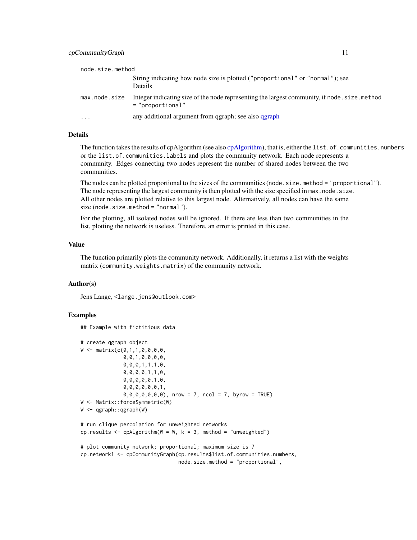#### <span id="page-10-0"></span>cpCommunityGraph 11

| node.size.method |                                                                                                                     |
|------------------|---------------------------------------------------------------------------------------------------------------------|
|                  | String indicating how node size is plotted ("proportional" or "normal"); see<br><b>Details</b>                      |
| max.node.size    | Integer indicating size of the node representing the largest community, if node $size$ method<br>$=$ "proportional" |
| $\ddots$         | any additional argument from qgraph; see also qgraph                                                                |

# Details

The function takes the results of cpAlgorithm (see also [cpAlgorithm\)](#page-1-1), that is, either the list.of.communities.numbers or the list.of.communities.labels and plots the community network. Each node represents a community. Edges connecting two nodes represent the number of shared nodes between the two communities.

The nodes can be plotted proportional to the sizes of the communities (node.size.method = "proportional"). The node representing the largest community is then plotted with the size specified in max.node.size. All other nodes are plotted relative to this largest node. Alternatively, all nodes can have the same size (node.size.method = "normal").

For the plotting, all isolated nodes will be ignored. If there are less than two communities in the list, plotting the network is useless. Therefore, an error is printed in this case.

#### Value

The function primarily plots the community network. Additionally, it returns a list with the weights matrix (community.weights.matrix) of the community network.

#### Author(s)

Jens Lange, <lange.jens@outlook.com>

#### Examples

```
## Example with fictitious data
# create qgraph object
W \leftarrow \text{matrix}(c(0,1,1,0,0,0,0,0,0))0,0,1,0,0,0,0,
              0,0,0,1,1,1,0,
              0,0,0,0,1,1,0,
              0,0,0,0,0,1,0,
              0,0,0,0,0,0,1,
              0,0,0,0,0,0,0), nrow = 7, ncol = 7, byrow = TRUE)
W <- Matrix::forceSymmetric(W)
W <- qgraph::qgraph(W)
# run clique percolation for unweighted networks
cp.results \leq cpAlgorithm(W = W, k = 3, method = "unweighted")
# plot community network; proportional; maximum size is 7
cp.network1 <- cpCommunityGraph(cp.results$list.of.communities.numbers,
```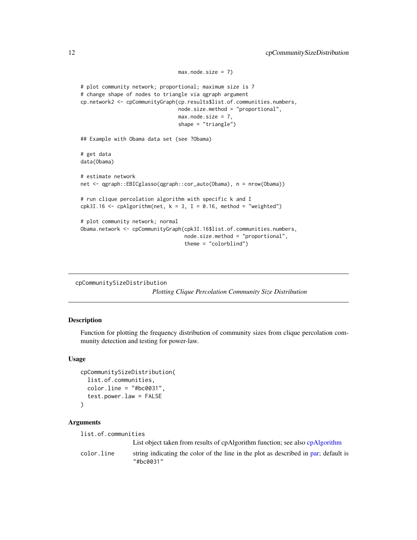```
max.node.size = 7)# plot community network; proportional; maximum size is 7
# change shape of nodes to triangle via qgraph argument
cp.network2 <- cpCommunityGraph(cp.results$list.of.communities.numbers,
                                node.size.method = "proportional",
                                max.node.size = 7,
                                shape = "triangle")
## Example with Obama data set (see ?Obama)
# get data
data(Obama)
# estimate network
net <- qgraph::EBICglasso(qgraph::cor_auto(Obama), n = nrow(Obama))
# run clique percolation algorithm with specific k and I
cpk3I.16 <- cpAlgorithm(net, k = 3, I = 0.16, method = "weighted")
# plot community network; normal
Obama.network <- cpCommunityGraph(cpk3I.16$list.of.communities.numbers,
                                  node.size.method = "proportional",
                                  theme = "colorblind")
```

```
cpCommunitySizeDistribution
```
*Plotting Clique Percolation Community Size Distribution*

#### Description

Function for plotting the frequency distribution of community sizes from clique percolation community detection and testing for power-law.

#### Usage

```
cpCommunitySizeDistribution(
 list.of.communities,
 coloruine = "#bc0031".test.power.law = FALSE
)
```
#### Arguments

list.of.communities

List object taken from results of cpAlgorithm function; see also [cpAlgorithm](#page-1-1) color.line string indicating the color of the line in the plot as described in [par;](#page-0-0) default is "#bc0031"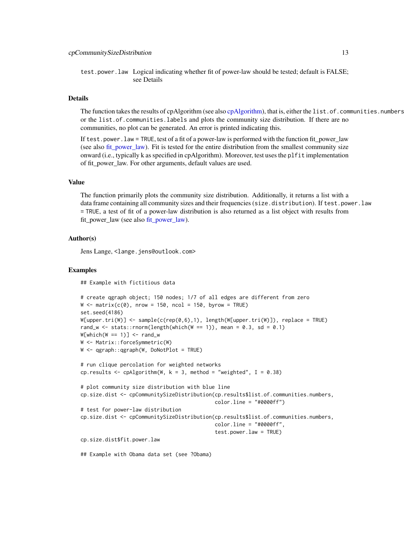#### <span id="page-12-0"></span>Details

The function takes the results of cpAlgorithm (see also [cpAlgorithm\)](#page-1-1), that is, either the list.of.communities.numbers or the list.of.communities.labels and plots the community size distribution. If there are no communities, no plot can be generated. An error is printed indicating this.

If test.power.law = TRUE, test of a fit of a power-law is performed with the function fit\_power\_law (see also fit power\_law). Fit is tested for the entire distribution from the smallest community size onward (i.e., typically k as specified in cpAlgorithm). Moreover, test uses the plfit implementation of fit power law. For other arguments, default values are used.

### Value

The function primarily plots the community size distribution. Additionally, it returns a list with a data frame containing all community sizes and their frequencies (size.distribution). If test.power.law = TRUE, a test of fit of a power-law distribution is also returned as a list object with results from fit\_power\_law (see also [fit\\_power\\_law\)](#page-0-0).

### Author(s)

Jens Lange, <lange.jens@outlook.com>

#### Examples

## Example with fictitious data

```
# create qgraph object; 150 nodes; 1/7 of all edges are different from zero
W \le - matrix(c(0), nrow = 150, ncol = 150, byrow = TRUE)
set.seed(4186)
W[upper.tri(W)] <- sample(c(rep(0,6),1), length(W[upper.tri(W)]), replace = TRUE)
rand_w \le stats::rnorm(length(which(W == 1)), mean = 0.3, sd = 0.1)
W[which(W == 1)] \leq - \text{rand}_WW <- Matrix::forceSymmetric(W)
W <- qgraph::qgraph(W, DoNotPlot = TRUE)
# run clique percolation for weighted networks
cp.results \leq cpAlgorithm(W, k = 3, method = "weighted", I = 0.38)
# plot community size distribution with blue line
cp.size.dist <- cpCommunitySizeDistribution(cp.results$list.of.communities.numbers,
                                             color.line = "#0000ff")
# test for power-law distribution
cp.size.dist <- cpCommunitySizeDistribution(cp.results$list.of.communities.numbers,
                                             color.line = "#0000ff",
                                             test.power.law = TRUE)
cp.size.dist$fit.power.law
```
## Example with Obama data set (see ?Obama)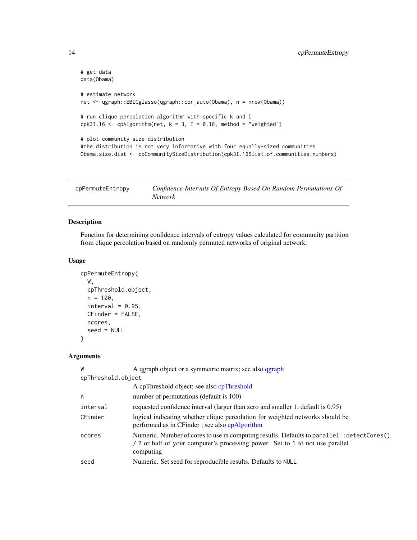```
# get data
data(Obama)
# estimate network
net <- qgraph::EBICglasso(qgraph::cor_auto(Obama), n = nrow(Obama))
# run clique percolation algorithm with specific k and I
cpk3I.16 <- cpAlgorithm(net, k = 3, I = 0.16, method = "weighted")
# plot community size distribution
#the distribution is not very informative with four equally-sized communities
Obama.size.dist <- cpCommunitySizeDistribution(cpk3I.16$list.of.communities.numbers)
```
<span id="page-13-1"></span>

# Description

Function for determining confidence intervals of entropy values calculated for community partition from clique percolation based on randomly permuted networks of original network.

#### Usage

```
cpPermuteEntropy(
  W,
  cpThreshold.object,
 n = 100,interval = 0.95,
 CFinder = FALSE,
 ncores,
  seed = NULL
\lambda
```
#### Arguments

| W                  | A qgraph object or a symmetric matrix; see also qgraph                                                                                                                                    |
|--------------------|-------------------------------------------------------------------------------------------------------------------------------------------------------------------------------------------|
| cpThreshold.object |                                                                                                                                                                                           |
|                    | A cpThreshold object; see also cpThreshold                                                                                                                                                |
| n                  | number of permutations (default is 100)                                                                                                                                                   |
| interval           | requested confidence interval (larger than zero and smaller 1; default is 0.95)                                                                                                           |
| CFinder            | logical indicating whether clique percolation for weighted networks should be<br>performed as in CFinder; see also cpAlgorithm                                                            |
| ncores             | Numeric. Number of cores to use in computing results. Defaults to parallel: : detectCores()<br>/ 2 or half of your computer's processing power. Set to 1 to not use parallel<br>computing |
| seed               | Numeric. Set seed for reproducible results. Defaults to NULL                                                                                                                              |

<span id="page-13-0"></span>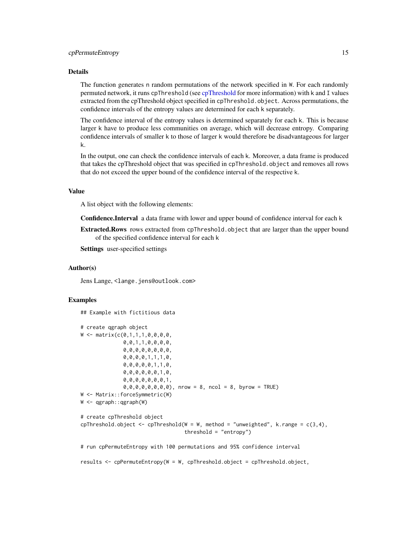#### <span id="page-14-0"></span>cpPermuteEntropy 15

#### Details

The function generates n random permutations of the network specified in W. For each randomly permuted network, it runs cpThreshold (see [cpThreshold](#page-15-1) for more information) with k and I values extracted from the cpThreshold object specified in cpThreshold.object. Across permutations, the confidence intervals of the entropy values are determined for each k separately.

The confidence interval of the entropy values is determined separately for each k. This is because larger k have to produce less communities on average, which will decrease entropy. Comparing confidence intervals of smaller k to those of larger k would therefore be disadvantageous for larger k.

In the output, one can check the confidence intervals of each k. Moreover, a data frame is produced that takes the cpThreshold object that was specified in cpThreshold.object and removes all rows that do not exceed the upper bound of the confidence interval of the respective k.

# Value

A list object with the following elements:

Confidence.Interval a data frame with lower and upper bound of confidence interval for each k

Extracted.Rows rows extracted from cpThreshold.object that are larger than the upper bound of the specified confidence interval for each k

Settings user-specified settings

#### Author(s)

Jens Lange, <lange.jens@outlook.com>

#### Examples

```
## Example with fictitious data
# create qgraph object
W \leq - matrix(c(0,1,1,1,0,0,0,0,0)0,0,1,1,0,0,0,0,
              0,0,0,0,0,0,0,0,
              0,0,0,0,1,1,1,0,
              0,0,0,0,0,1,1,0,
              0,0,0,0,0,0,1,0,
              0,0,0,0,0,0,0,1,
              0,0,0,0,0,0,0,0), nrow = 8, ncol = 8, byrow = TRUE)
W <- Matrix::forceSymmetric(W)
W <- qgraph::qgraph(W)
# create cpThreshold object
cpThreshold.object <- cpThreshold(W = W, method = "unweighted", k.range = c(3,4),
                                  threshold = "entropy")
# run cpPermuteEntropy with 100 permutations and 95% confidence interval
results <- cpPermuteEntropy(W = W, cpThreshold.object = cpThreshold.object,
```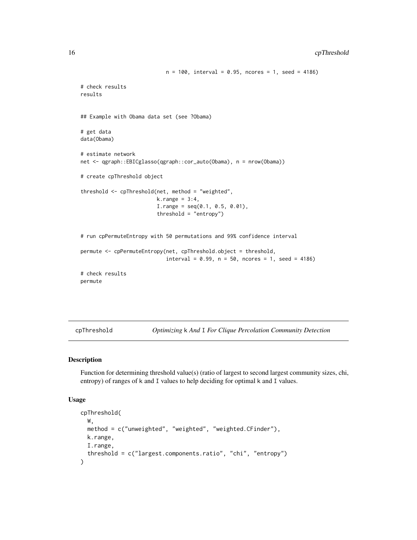```
n = 100, interval = 0.95, ncores = 1, seed = 4186)
# check results
results
## Example with Obama data set (see ?Obama)
# get data
data(Obama)
# estimate network
net <- qgraph::EBICglasso(qgraph::cor_auto(Obama), n = nrow(Obama))
# create cpThreshold object
threshold <- cpThreshold(net, method = "weighted",
                         k.random = 3:4,
                         I.random = seq(0.1, 0.5, 0.01),threshold = "entropy")
# run cpPermuteEntropy with 50 permutations and 99% confidence interval
permute <- cpPermuteEntropy(net, cpThreshold.object = threshold,
                            interval = 0.99, n = 50, ncores = 1, seed = 4186)# check results
permute
```
<span id="page-15-1"></span>cpThreshold *Optimizing* k *And* I *For Clique Percolation Community Detection*

# Description

Function for determining threshold value(s) (ratio of largest to second largest community sizes, chi, entropy) of ranges of k and I values to help deciding for optimal k and I values.

#### Usage

```
cpThreshold(
 W,
 method = c("unweighted", "weighted", "weighted.CFinder"),
 k.range,
  I.range,
  threshold = c("largest.components.ratio", "chi", "entropy")
)
```
<span id="page-15-0"></span>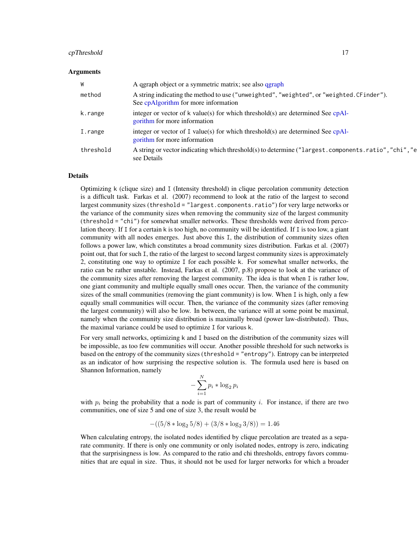#### <span id="page-16-0"></span>cpThreshold 17

#### Arguments

| W         | A qgraph object or a symmetric matrix; see also qgraph                                                                            |
|-----------|-----------------------------------------------------------------------------------------------------------------------------------|
| method    | A string indicating the method to use ("unweighted", "weighted", or "weighted. CFinder").<br>See cpAlgorithm for more information |
| k.range   | integer or vector of $k$ value(s) for which threshold(s) are determined See cpAl-<br>gorithm for more information                 |
| I.range   | integer or vector of I value(s) for which threshold(s) are determined See $cpAl-$<br>gorithm for more information                 |
| threshold | A string or vector indicating which threshold(s) to determine ("largest.components.ratio", "chi", "e<br>see Details               |

#### Details

Optimizing k (clique size) and I (Intensity threshold) in clique percolation community detection is a difficult task. Farkas et al. (2007) recommend to look at the ratio of the largest to second largest community sizes (threshold = "largest.components.ratio") for very large networks or the variance of the community sizes when removing the community size of the largest community (threshold = "chi") for somewhat smaller networks. These thresholds were derived from percolation theory. If I for a certain k is too high, no community will be identified. If I is too low, a giant community with all nodes emerges. Just above this I, the distribution of community sizes often follows a power law, which constitutes a broad community sizes distribution. Farkas et al. (2007) point out, that for such I, the ratio of the largest to second largest community sizes is approximately 2, constituting one way to optimize I for each possible k. For somewhat smaller networks, the ratio can be rather unstable. Instead, Farkas et al. (2007, p.8) propose to look at the variance of the community sizes after removing the largest community. The idea is that when I is rather low, one giant community and multiple equally small ones occur. Then, the variance of the community sizes of the small communities (removing the giant community) is low. When I is high, only a few equally small communities will occur. Then, the variance of the community sizes (after removing the largest community) will also be low. In between, the variance will at some point be maximal, namely when the community size distribution is maximally broad (power law-distributed). Thus, the maximal variance could be used to optimize I for various k.

For very small networks, optimizing k and I based on the distribution of the community sizes will be impossible, as too few communities will occur. Another possible threshold for such networks is based on the entropy of the community sizes (threshold = "entropy"). Entropy can be interpreted as an indicator of how surprising the respective solution is. The formula used here is based on Shannon Information, namely

$$
-\sum_{i=1}^{N} p_i * \log_2 p_i
$$

with  $p_i$  being the probability that a node is part of community i. For instance, if there are two communities, one of size 5 and one of size 3, the result would be

$$
-((5/8 * log2 5/8) + (3/8 * log2 3/8)) = 1.46
$$

When calculating entropy, the isolated nodes identified by clique percolation are treated as a separate community. If there is only one community or only isolated nodes, entropy is zero, indicating that the surprisingness is low. As compared to the ratio and chi thresholds, entropy favors communities that are equal in size. Thus, it should not be used for larger networks for which a broader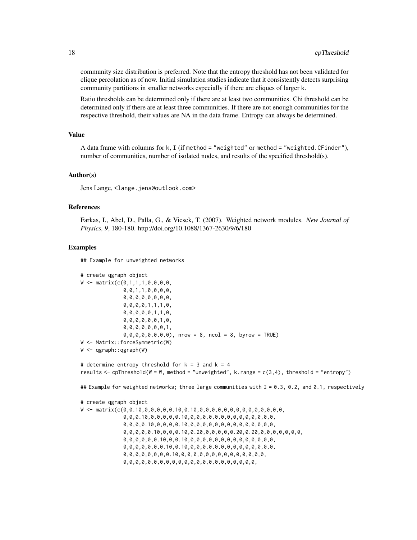community size distribution is preferred. Note that the entropy threshold has not been validated for clique percolation as of now. Initial simulation studies indicate that it consistently detects surprising community partitions in smaller networks especially if there are cliques of larger k.

Ratio thresholds can be determined only if there are at least two communities. Chi threshold can be determined only if there are at least three communities. If there are not enough communities for the respective threshold, their values are NA in the data frame. Entropy can always be determined.

#### Value

A data frame with columns for k, I (if method = "weighted" or method = "weighted.CFinder"), number of communities, number of isolated nodes, and results of the specified threshold(s).

#### Author(s)

Jens Lange, <lange.jens@outlook.com>

#### References

Farkas, I., Abel, D., Palla, G., & Vicsek, T. (2007). Weighted network modules. *New Journal of Physics, 9*, 180-180. http://doi.org/10.1088/1367-2630/9/6/180

#### Examples

## Example for unweighted networks

```
# create qgraph object
W \leq - matrix(C(0,1,1,1,0,0,0,0,0)0,0,1,1,0,0,0,0,
              0,0,0,0,0,0,0,0,
              0,0,0,0,1,1,1,0,
              0,0,0,0,0,1,1,0,
              0,0,0,0,0,0,1,0,
              0,0,0,0,0,0,0,1,
              0,0,0,0,0,0,0,0), nrow = 8, ncol = 8, byrow = TRUE)
W <- Matrix::forceSymmetric(W)
W <- qgraph::qgraph(W)
```
# determine entropy threshold for  $k = 3$  and  $k = 4$ results  $\leq$  cpThreshold(W = W, method = "unweighted", k.range =  $c(3,4)$ , threshold = "entropy")

## Example for weighted networks; three large communities with  $I = 0.3$ , 0.2, and 0.1, respectively

```
# create qgraph object
W <- matrix(c(0,0.10,0,0,0,0,0.10,0.10,0,0,0,0,0,0,0,0,0,0,0,0,0,0,
              0,0,0.10,0,0,0,0,0.10,0,0,0,0,0,0,0,0,0,0,0,0,0,0,
             0,0,0,0.10,0,0,0,0.10,0,0,0,0,0,0,0,0,0,0,0,0,0,0,
              0,0,0,0,0.10,0,0,0.10,0.20,0,0,0,0,0.20,0.20,0,0,0,0,0,0,0,
             0,0,0,0,0,0.10,0,0.10,0,0,0,0,0,0,0,0,0,0,0,0,0,0,
             0,0,0,0,0,0,0.10,0.10,0,0,0,0,0,0,0,0,0,0,0,0,0,0,
              0,0,0,0,0,0,0,0.10,0,0,0,0,0,0,0,0,0,0,0,0,0,0,
              0,0,0,0,0,0,0,0,0,0,0,0,0,0,0,0,0,0,0,0,0,0,
```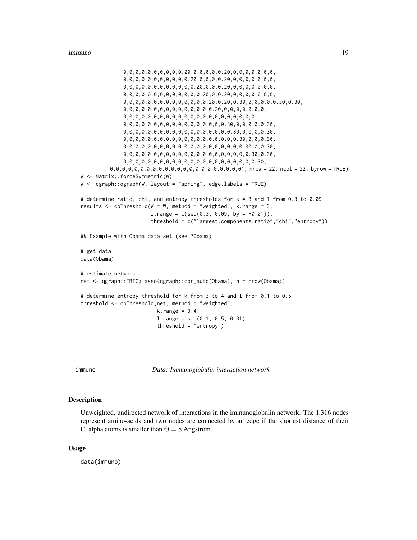#### <span id="page-18-0"></span>immuno 19

0,0,0,0,0,0,0,0,0,0.20,0,0,0,0,0.20,0,0,0,0,0,0,0, 0,0,0,0,0,0,0,0,0,0,0.20,0,0,0,0.20,0,0,0,0,0,0,0, 0,0,0,0,0,0,0,0,0,0,0,0.20,0,0,0.20,0,0,0,0,0,0,0, 0,0,0,0,0,0,0,0,0,0,0,0,0.20,0,0.20,0,0,0,0,0,0,0, 0,0,0,0,0,0,0,0,0,0,0,0,0,0.20,0.20,0.30,0,0,0,0,0.30,0.30, 0,0,0,0,0,0,0,0,0,0,0,0,0,0,0.20,0,0,0,0,0,0,0, 0,0,0,0,0,0,0,0,0,0,0,0,0,0,0,0,0,0,0,0,0,0, 0,0,0,0,0,0,0,0,0,0,0,0,0,0,0,0,0.30,0,0,0,0,0.30, 0,0,0,0,0,0,0,0,0,0,0,0,0,0,0,0,0,0.30,0,0,0,0.30, 0,0,0,0,0,0,0,0,0,0,0,0,0,0,0,0,0,0,0.30,0,0,0.30, 0,0,0,0,0,0,0,0,0,0,0,0,0,0,0,0,0,0,0,0.30,0,0.30, 0,0,0,0,0,0,0,0,0,0,0,0,0,0,0,0,0,0,0,0,0.30,0.30, 0,0,0,0,0,0,0,0,0,0,0,0,0,0,0,0,0,0,0,0,0,0.30, 0,0,0,0,0,0,0,0,0,0,0,0,0,0,0,0,0,0,0,0,0,0), nrow = 22, ncol = 22, byrow = TRUE) W <- Matrix::forceSymmetric(W) W <- qgraph::qgraph(W, layout = "spring", edge.labels = TRUE) # determine ratio, chi, and entropy thresholds for k = 3 and I from 0.3 to 0.09 results  $\leq$  cpThreshold(W = W, method = "weighted", k.range = 3, I.range =  $c(\text{seq}(0.3, 0.09, by = -0.01)),$ threshold = c("largest.components.ratio","chi","entropy")) ## Example with Obama data set (see ?Obama) # get data data(Obama) # estimate network net <- qgraph::EBICglasso(qgraph::cor\_auto(Obama), n = nrow(Obama)) # determine entropy threshold for k from 3 to 4 and I from 0.1 to 0.5 threshold <- cpThreshold(net, method = "weighted",  $k.random = 3:4,$  $I.random = seq(0.1, 0.5, 0.01),$ threshold = "entropy")

immuno *Data: Immunoglobulin interaction network*

#### **Description**

Unweighted, undirected network of interactions in the immunoglobulin network. The 1,316 nodes represent amino-acids and two nodes are connected by an edge if the shortest distance of their C\_alpha atoms is smaller than  $\Theta = 8$  Angstrom.

#### Usage

data(immuno)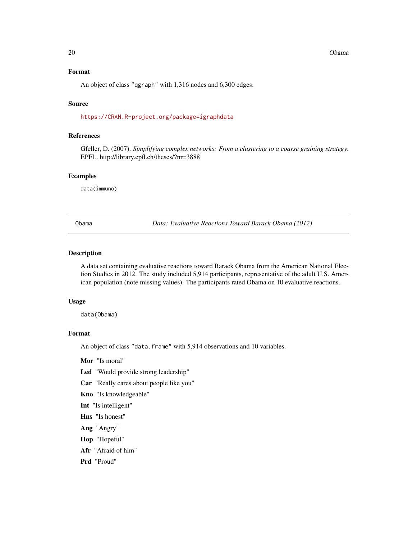#### <span id="page-19-0"></span>20 **Obama**

# Format

An object of class "qgraph" with 1,316 nodes and 6,300 edges.

#### Source

<https://CRAN.R-project.org/package=igraphdata>

# References

Gfeller, D. (2007). *Simplifying complex networks: From a clustering to a coarse graining strategy*. EPFL. http://library.epfl.ch/theses/?nr=3888

#### Examples

data(immuno)

Obama *Data: Evaluative Reactions Toward Barack Obama (2012)*

#### Description

A data set containing evaluative reactions toward Barack Obama from the American National Election Studies in 2012. The study included 5,914 participants, representative of the adult U.S. American population (note missing values). The participants rated Obama on 10 evaluative reactions.

#### Usage

data(Obama)

# Format

An object of class "data.frame" with 5,914 observations and 10 variables.

Mor "Is moral"

Led "Would provide strong leadership"

Car "Really cares about people like you"

- Kno "Is knowledgeable"
- Int "Is intelligent"
- Hns "Is honest"

Ang "Angry"

- Hop "Hopeful"
- Afr "Afraid of him"
- Prd "Proud"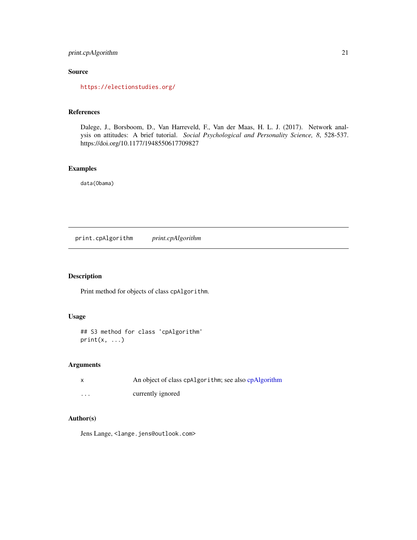# <span id="page-20-0"></span>print.cpAlgorithm 21

# Source

<https://electionstudies.org/>

#### References

Dalege, J., Borsboom, D., Van Harreveld, F., Van der Maas, H. L. J. (2017). Network analysis on attitudes: A brief tutorial. *Social Psychological and Personality Science, 8*, 528-537. https://doi.org/10.1177/1948550617709827

# Examples

data(Obama)

print.cpAlgorithm *print.cpAlgorithm*

# Description

Print method for objects of class cpAlgorithm.

#### Usage

```
## S3 method for class 'cpAlgorithm'
print(x, \ldots)
```
#### Arguments

|          | An object of class cpAlgorithm; see also cpAlgorithm |
|----------|------------------------------------------------------|
| $\cdots$ | currently ignored                                    |

# Author(s)

Jens Lange, <lange.jens@outlook.com>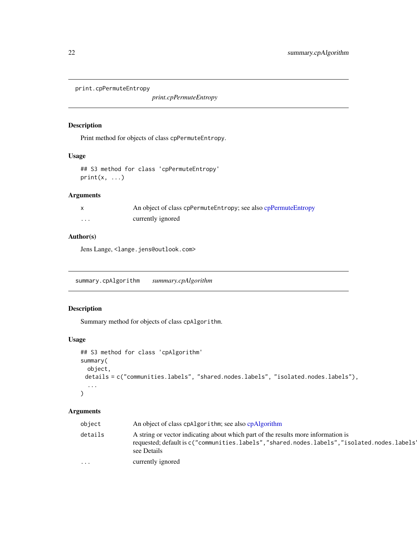<span id="page-21-0"></span>print.cpPermuteEntropy

*print.cpPermuteEntropy*

## Description

Print method for objects of class cpPermuteEntropy.

#### Usage

## S3 method for class 'cpPermuteEntropy'  $print(x, \ldots)$ 

# Arguments

|   | An object of class cpPermuteEntropy; see also cpPermuteEntropy |
|---|----------------------------------------------------------------|
| . | currently ignored                                              |

# Author(s)

Jens Lange, <lange.jens@outlook.com>

summary.cpAlgorithm *summary.cpAlgorithm*

# Description

Summary method for objects of class cpAlgorithm.

### Usage

```
## S3 method for class 'cpAlgorithm'
summary(
 object,
 details = c("communities.labels", "shared.nodes.labels", "isolated.nodes.labels"),
  ...
)
```
# Arguments

| object   | An object of class cpAlgorithm; see also cpAlgorithm                                                                                                                                           |
|----------|------------------------------------------------------------------------------------------------------------------------------------------------------------------------------------------------|
| details  | A string or vector indicating about which part of the results more information is<br>requested; default is c("communities.labels","shared.nodes.labels","isolated.nodes.labels'<br>see Details |
| $\cdots$ | currently ignored                                                                                                                                                                              |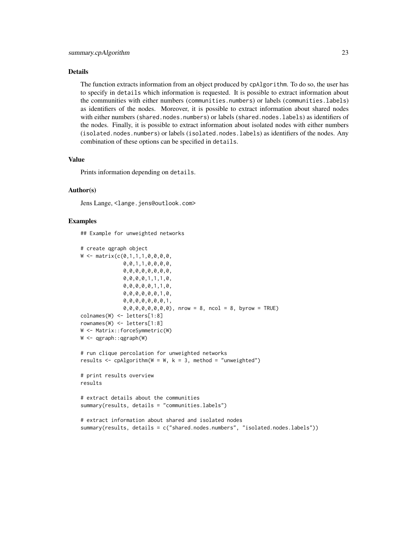#### Details

The function extracts information from an object produced by cpAlgorithm. To do so, the user has to specify in details which information is requested. It is possible to extract information about the communities with either numbers (communities.numbers) or labels (communities.labels) as identifiers of the nodes. Moreover, it is possible to extract information about shared nodes with either numbers (shared.nodes.numbers) or labels (shared.nodes.labels) as identifiers of the nodes. Finally, it is possible to extract information about isolated nodes with either numbers (isolated.nodes.numbers) or labels (isolated.nodes.labels) as identifiers of the nodes. Any combination of these options can be specified in details.

#### Value

Prints information depending on details.

#### Author(s)

Jens Lange, <lange.jens@outlook.com>

#### Examples

## Example for unweighted networks

```
# create qgraph object
W \leq - matrix(c(0,1,1,1,0,0,0,0,0)0,0,1,1,0,0,0,0,
              0,0,0,0,0,0,0,0,
              0,0,0,0,1,1,1,0,
              0,0,0,0,0,1,1,0,
              0,0,0,0,0,0,1,0,
              0,0,0,0,0,0,0,1,
              0,0,0,0,0,0,0,0), nrow = 8, ncol = 8, byrow = TRUE)
colnames(W) <- letters[1:8]
rownames(W) <- letters[1:8]
W <- Matrix::forceSymmetric(W)
W <- qgraph::qgraph(W)
# run clique percolation for unweighted networks
results \leq cpAlgorithm(W = W, k = 3, method = "unweighted")
# print results overview
results
# extract details about the communities
summary(results, details = "communities.labels")
# extract information about shared and isolated nodes
summary(results, details = c("shared.nodes.numbers", "isolated.nodes.labels"))
```